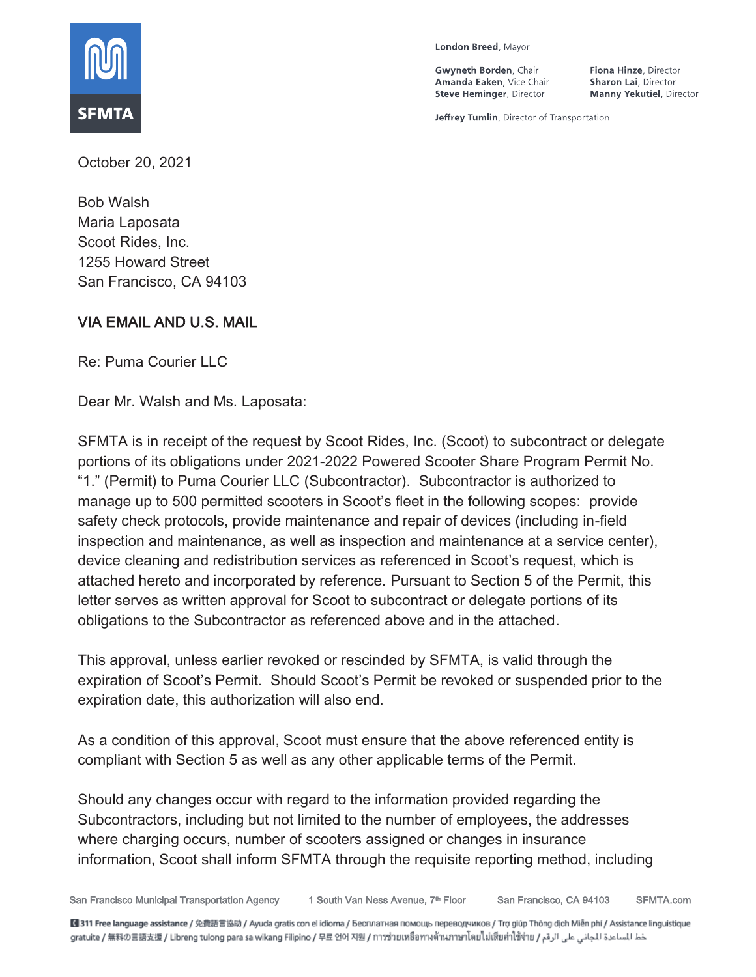

London Breed, Mayor

Gwyneth Borden, Chair Amanda Eaken, Vice Chair **Steve Heminger, Director** 

Fiona Hinze, Director Sharon Lai, Director **Manny Yekutiel**, Director

Jeffrey Tumlin, Director of Transportation

October 20, 2021

Bob Walsh Maria Laposata Scoot Rides, Inc. 1255 Howard Street San Francisco, CA 94103

# VIA EMAIL AND U.S. MAIL

Re: Puma Courier LLC

Dear Mr. Walsh and Ms. Laposata:

SFMTA is in receipt of the request by Scoot Rides, Inc. (Scoot) to subcontract or delegate portions of its obligations under 2021-2022 Powered Scooter Share Program Permit No. "1." (Permit) to Puma Courier LLC (Subcontractor). Subcontractor is authorized to manage up to 500 permitted scooters in Scoot's fleet in the following scopes: provide safety check protocols, provide maintenance and repair of devices (including in-field inspection and maintenance, as well as inspection and maintenance at a service center), device cleaning and redistribution services as referenced in Scoot's request, which is attached hereto and incorporated by reference. Pursuant to Section 5 of the Permit, this letter serves as written approval for Scoot to subcontract or delegate portions of its obligations to the Subcontractor as referenced above and in the attached.

This approval, unless earlier revoked or rescinded by SFMTA, is valid through the expiration of Scoot's Permit. Should Scoot's Permit be revoked or suspended prior to the expiration date, this authorization will also end.

As a condition of this approval, Scoot must ensure that the above referenced entity is compliant with Section 5 as well as any other applicable terms of the Permit.

Should any changes occur with regard to the information provided regarding the Subcontractors, including but not limited to the number of employees, the addresses where charging occurs, number of scooters assigned or changes in insurance information, Scoot shall inform SFMTA through the requisite reporting method, including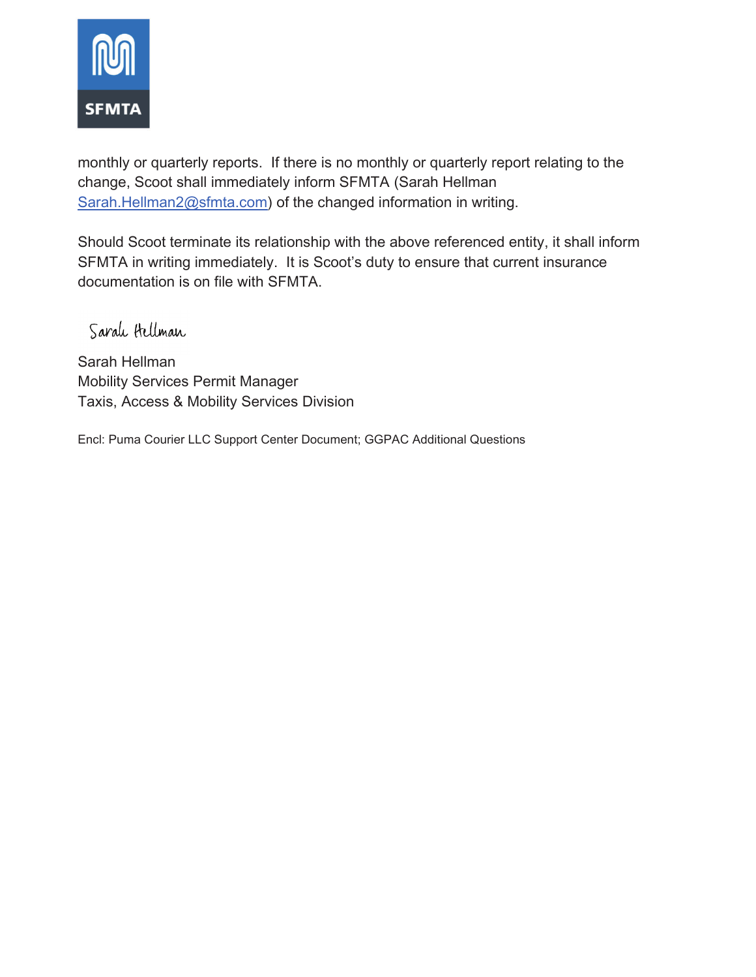

monthly or quarterly reports. If there is no monthly or quarterly report relating to the change, Scoot shall immediately inform SFMTA (Sarah Hellman Sarah.Hellman2@sfmta.com) of the changed information in writing.

Should Scoot terminate its relationship with the above referenced entity, it shall inform SFMTA in writing immediately. It is Scoot's duty to ensure that current insurance documentation is on file with SFMTA.

Sarah Hellman

Sarah Hellman Mobility Services Permit Manager Taxis, Access & Mobility Services Division

Encl: Puma Courier LLC Support Center Document; GGPAC Additional Questions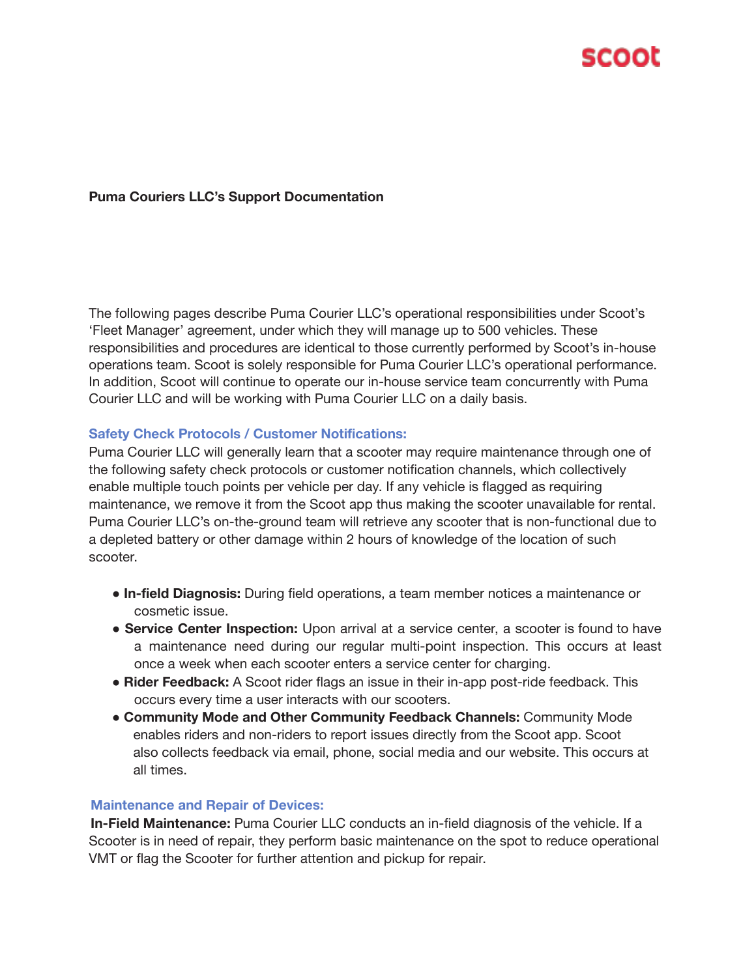

### **Puma Couriers LLC's Support Documentation**

The following pages describe Puma Courier LLC's operational responsibilities under Scoot's 'Fleet Manager' agreement, under which they will manage up to 500 vehicles. These responsibilities and procedures are identical to those currently performed by Scoot's in-house operations team. Scoot is solely responsible for Puma Courier LLC's operational performance. In addition, Scoot will continue to operate our in-house service team concurrently with Puma Courier LLC and will be working with Puma Courier LLC on a daily basis.

#### **Safety Check Protocols / Customer Notifications:**

Puma Courier LLC will generally learn that a scooter may require maintenance through one of the following safety check protocols or customer notification channels, which collectively enable multiple touch points per vehicle per day. If any vehicle is flagged as requiring maintenance, we remove it from the Scoot app thus making the scooter unavailable for rental. Puma Courier LLC's on-the-ground team will retrieve any scooter that is non-functional due to a depleted battery or other damage within 2 hours of knowledge of the location of such scooter.

- **In-field Diagnosis:** During field operations, a team member notices a maintenance or cosmetic issue.
- **Service Center Inspection:** Upon arrival at a service center, a scooter is found to have a maintenance need during our regular multi-point inspection. This occurs at least once a week when each scooter enters a service center for charging.
- **Rider Feedback:** A Scoot rider flags an issue in their in-app post-ride feedback. This occurs every time a user interacts with our scooters.
- **Community Mode and Other Community Feedback Channels:** Community Mode enables riders and non-riders to report issues directly from the Scoot app. Scoot also collects feedback via email, phone, social media and our website. This occurs at all times.

#### **Maintenance and Repair of Devices:**

**In-Field Maintenance:** Puma Courier LLC conducts an in-field diagnosis of the vehicle. If a Scooter is in need of repair, they perform basic maintenance on the spot to reduce operational VMT or flag the Scooter for further attention and pickup for repair.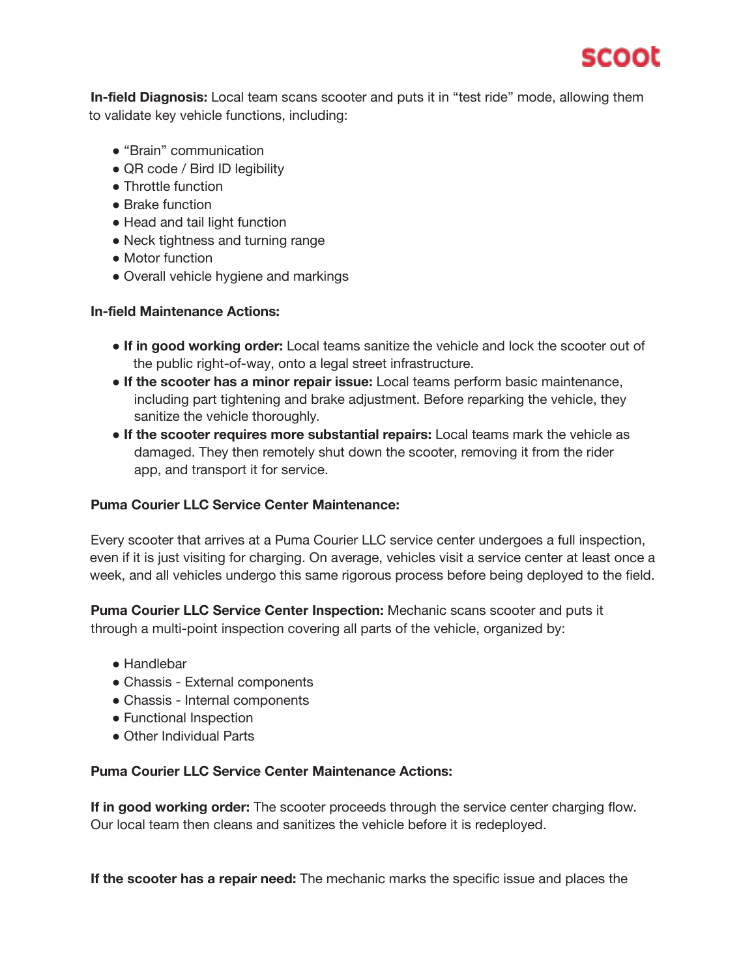

**In-field Diagnosis:** Local team scans scooter and puts it in "test ride" mode, allowing them to validate key vehicle functions, including:

- "Brain" communication
- QR code / Bird ID legibility
- Throttle function
- Brake function
- Head and tail light function
- Neck tightness and turning range
- Motor function
- Overall vehicle hygiene and markings

#### **In-field Maintenance Actions:**

- **If in good working order:** Local teams sanitize the vehicle and lock the scooter out of the public right-of-way, onto a legal street infrastructure.
- **If the scooter has a minor repair issue:** Local teams perform basic maintenance, including part tightening and brake adjustment. Before reparking the vehicle, they sanitize the vehicle thoroughly.
- **If the scooter requires more substantial repairs:** Local teams mark the vehicle as damaged. They then remotely shut down the scooter, removing it from the rider app, and transport it for service.

### **Puma Courier LLC Service Center Maintenance:**

Every scooter that arrives at a Puma Courier LLC service center undergoes a full inspection, even if it is just visiting for charging. On average, vehicles visit a service center at least once a week, and all vehicles undergo this same rigorous process before being deployed to the field.

**Puma Courier LLC Service Center Inspection:** Mechanic scans scooter and puts it through a multi-point inspection covering all parts of the vehicle, organized by:

- Handlebar
- Chassis External components
- Chassis Internal components
- Functional Inspection
- Other Individual Parts

#### **Puma Courier LLC Service Center Maintenance Actions:**

**If in good working order:** The scooter proceeds through the service center charging flow. Our local team then cleans and sanitizes the vehicle before it is redeployed.

**If the scooter has a repair need:** The mechanic marks the specific issue and places the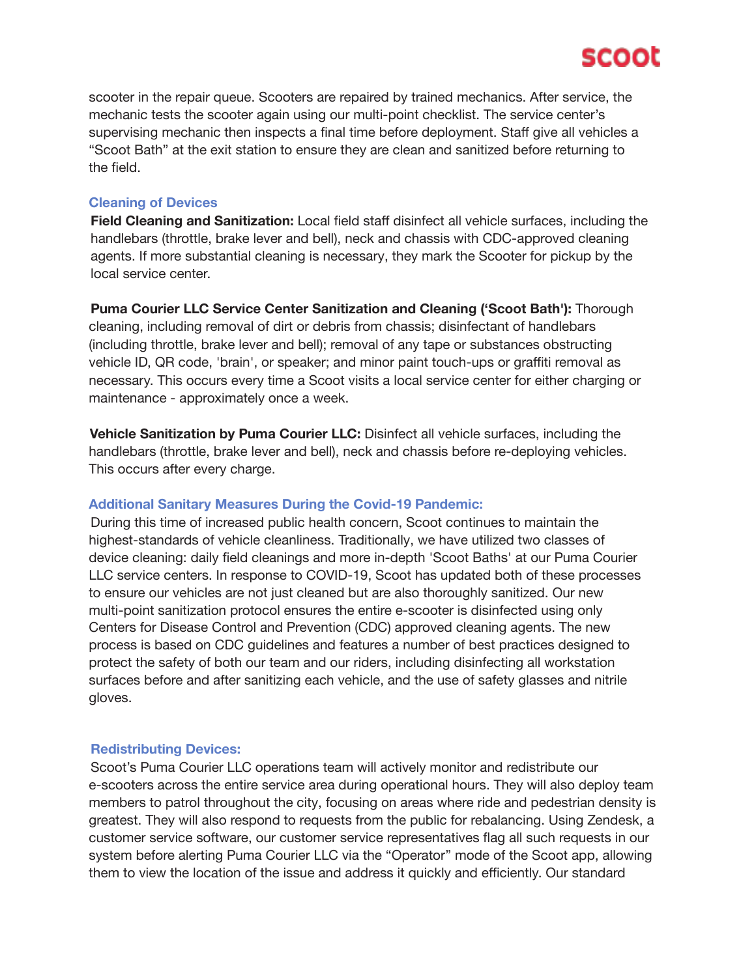

scooter in the repair queue. Scooters are repaired by trained mechanics. After service, the mechanic tests the scooter again using our multi-point checklist. The service center's supervising mechanic then inspects a final time before deployment. Staff give all vehicles a "Scoot Bath" at the exit station to ensure they are clean and sanitized before returning to the field.

#### **Cleaning of Devices**

**Field Cleaning and Sanitization:** Local field staff disinfect all vehicle surfaces, including the handlebars (throttle, brake lever and bell), neck and chassis with CDC-approved cleaning agents. If more substantial cleaning is necessary, they mark the Scooter for pickup by the local service center.

**Puma Courier LLC Service Center Sanitization and Cleaning ('Scoot Bath'):** Thorough cleaning, including removal of dirt or debris from chassis; disinfectant of handlebars (including throttle, brake lever and bell); removal of any tape or substances obstructing vehicle ID, QR code, 'brain', or speaker; and minor paint touch-ups or graffiti removal as necessary. This occurs every time a Scoot visits a local service center for either charging or maintenance - approximately once a week.

**Vehicle Sanitization by Puma Courier LLC:** Disinfect all vehicle surfaces, including the handlebars (throttle, brake lever and bell), neck and chassis before re-deploying vehicles. This occurs after every charge.

### **Additional Sanitary Measures During the Covid-19 Pandemic:**

During this time of increased public health concern, Scoot continues to maintain the highest-standards of vehicle cleanliness. Traditionally, we have utilized two classes of device cleaning: daily field cleanings and more in-depth 'Scoot Baths' at our Puma Courier LLC service centers. In response to COVID-19, Scoot has updated both of these processes to ensure our vehicles are not just cleaned but are also thoroughly sanitized. Our new multi-point sanitization protocol ensures the entire e-scooter is disinfected using only Centers for Disease Control and Prevention (CDC) approved cleaning agents. The new process is based on CDC guidelines and features a number of best practices designed to protect the safety of both our team and our riders, including disinfecting all workstation surfaces before and after sanitizing each vehicle, and the use of safety glasses and nitrile gloves.

#### **Redistributing Devices:**

Scoot's Puma Courier LLC operations team will actively monitor and redistribute our e-scooters across the entire service area during operational hours. They will also deploy team members to patrol throughout the city, focusing on areas where ride and pedestrian density is greatest. They will also respond to requests from the public for rebalancing. Using Zendesk, a customer service software, our customer service representatives flag all such requests in our system before alerting Puma Courier LLC via the "Operator" mode of the Scoot app, allowing them to view the location of the issue and address it quickly and efficiently. Our standard